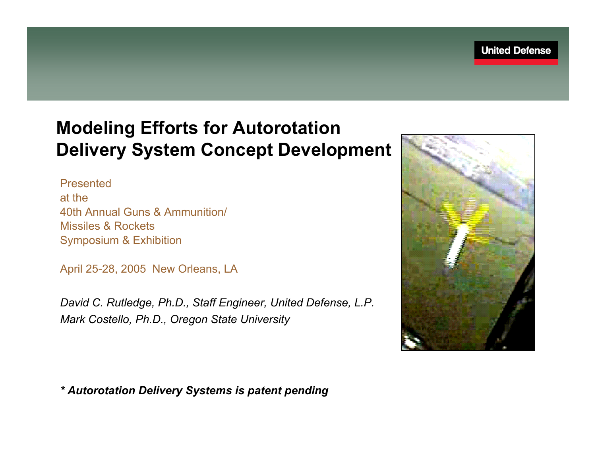#### **Modeling Efforts for Autorotation Delivery System Concept Development**

Presented at the40th Annual Guns & Ammunition/Missiles & RocketsSymposium & Exhibition

April 25-28, 2005 New Orleans, LA

*David C. Rutledge, Ph.D., Staff Engineer, United Defense, L.P. Mark Costello, Ph.D., Oregon State University*



*\* Autorotation Delivery Systems is patent pending*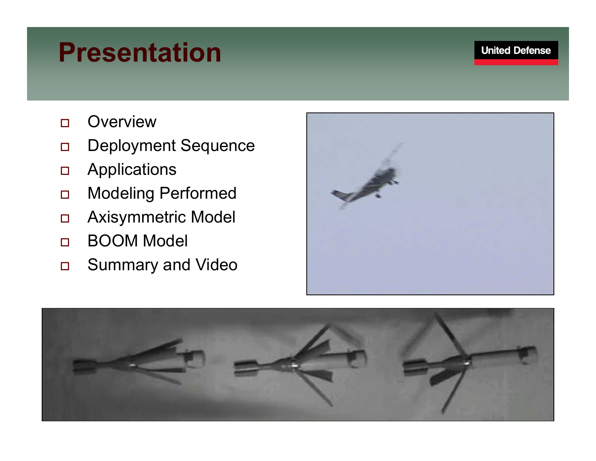## **Presentation**

- $\Box$ **Overview**
- $\Box$ Deployment Sequence
- $\Box$ **Applications**
- $\Box$ Modeling Performed
- $\Box$ Axisymmetric Model
- $\Box$ BOOM Model
- $\Box$ Summary and Video



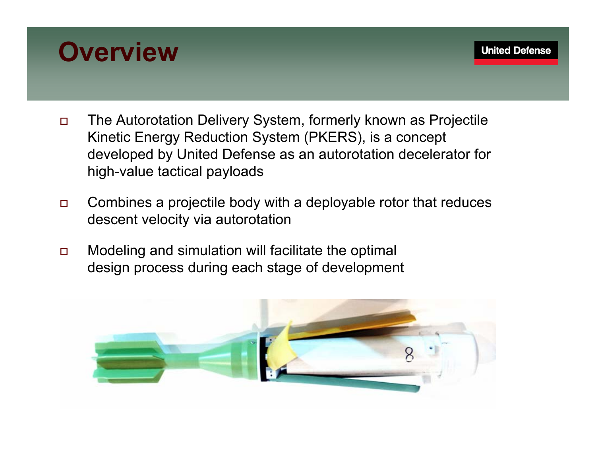## **Overview**

- $\Box$  The Autorotation Delivery System, formerly known as Projectile Kinetic Energy Reduction System (PKERS), is a concept developed by United Defense as an autorotation decelerator for high-value tactical payloads
- $\Box$  Combines a projectile body with a deployable rotor that reduces descent velocity via autorotation
- $\Box$  Modeling and simulation will facilitate the optimal design process during each stage of development

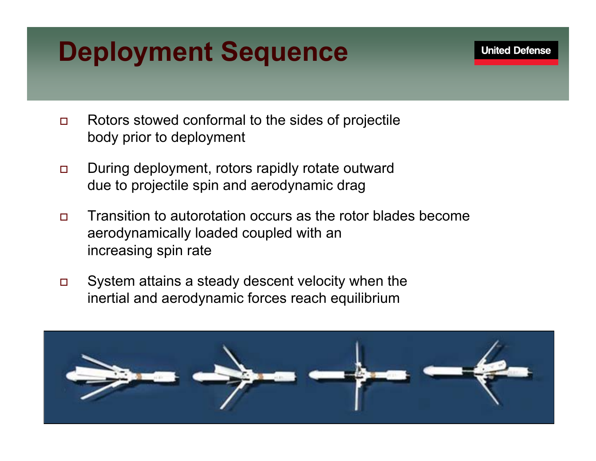## **Deployment Sequence**

**United Defense** 

- $\Box$  Rotors stowed conformal to the sides of projectile body prior to deployment
- $\Box$  During deployment, rotors rapidly rotate outward due to projectile spin and aerodynamic drag
- $\Box$  Transition to autorotation occurs as the rotor blades become aerodynamically loaded coupled with an increasing spin rate
- $\Box$  System attains a steady descent velocity when the inertial and aerodynamic forces reach equilibrium

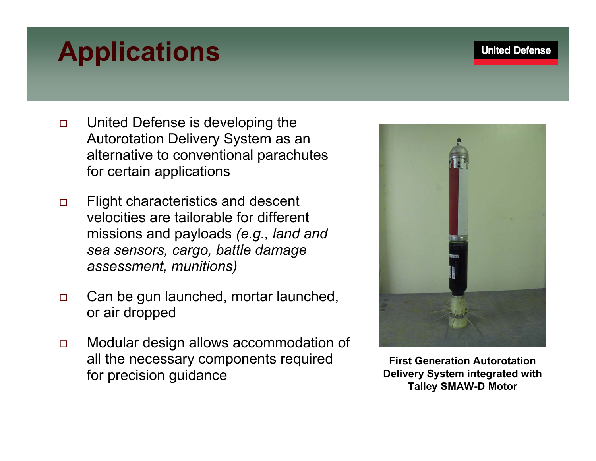#### **United Defense**

# **Applications**

- $\Box$  United Defense is developing the Autorotation Delivery System as an alternative to conventional parachutes for certain applications
- $\Box$  Flight characteristics and descent velocities are tailorable for different missions and payloads *(e.g., land and sea sensors, cargo, battle damage assessment, munitions)*
- $\Box$  Can be gun launched, mortar launched, or air dropped
- $\Box$  Modular design allows accommodation of all the necessary components required for precision guidance



**First Generation Autorotation Delivery System integrated with Talley SMAW-D Motor**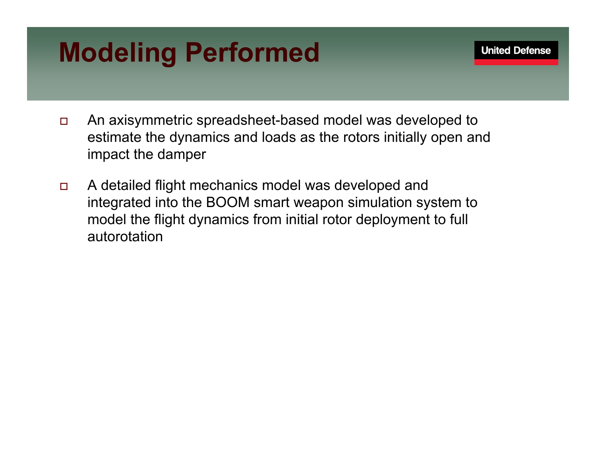## **Modeling Performed**

- $\Box$  An axisymmetric spreadsheet-based model was developed to estimate the dynamics and loads as the rotors initially open and impact the damper
- $\Box$  A detailed flight mechanics model was developed and integrated into the BOOM smart weapon simulation system to model the flight dynamics from initial rotor deployment to full autorotation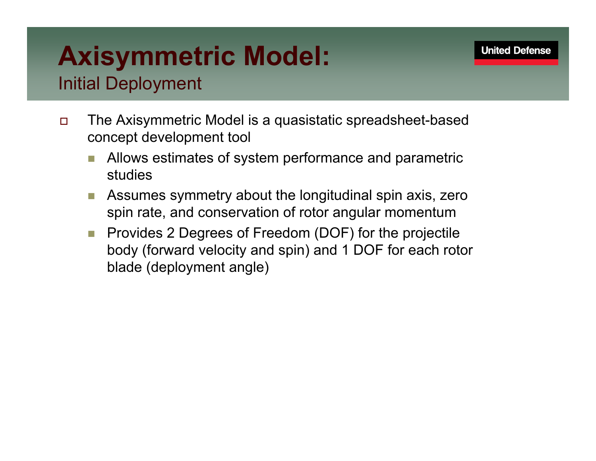## **Axisymmetric Model:** Initial Deployment

- $\Box$  The Axisymmetric Model is a quasistatic spreadsheet-based concept development tool
	- Allows estimates of system performance and parametric studies
	- m. Assumes symmetry about the longitudinal spin axis, zero spin rate, and conservation of rotor angular momentum
	- m. Provides 2 Degrees of Freedom (DOF) for the projectile body (forward velocity and spin) and 1 DOF for each rotor blade (deployment angle)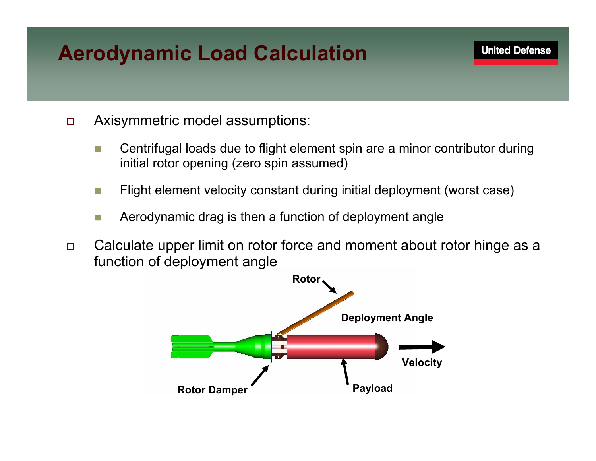## **Aerodynamic Load Calculation**

- $\Box$  Axisymmetric model assumptions:
	- m. Centrifugal loads due to flight element spin are a minor contributor during initial rotor opening (zero spin assumed)
	- m. Flight element velocity constant during initial deployment (worst case)
	- m. Aerodynamic drag is then a function of deployment angle
- $\Box$  Calculate upper limit on rotor force and moment about rotor hinge as a function of deployment angle

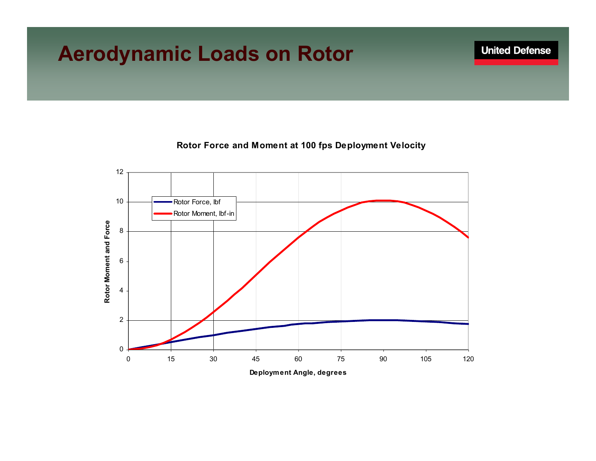#### **Aerodynamic Loads on Rotor**



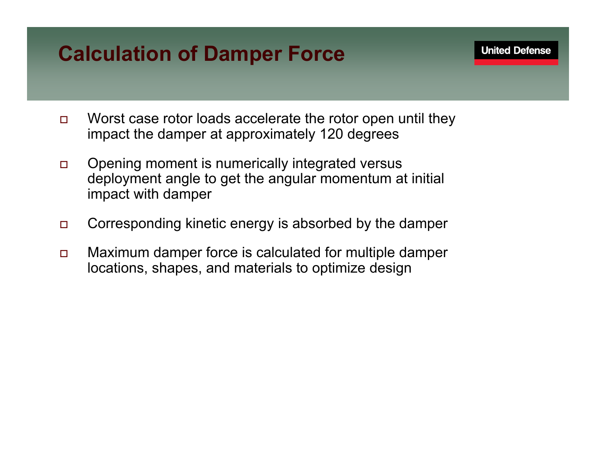### **Calculation of Damper Force**

- $\Box$  Worst case rotor loads accelerate the rotor open until they impact the damper at approximately 120 degrees
- $\Box$  Opening moment is numerically integrated versus deployment angle to get the angular momentum at initial impact with damper
- $\Box$ Corresponding kinetic energy is absorbed by the damper
- $\Box$  Maximum damper force is calculated for multiple damper locations, shapes, and materials to optimize design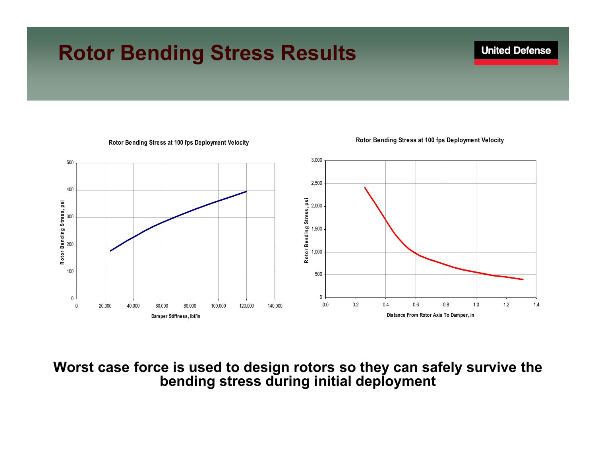#### **Rotor Bending Stress Results**



#### **Rotor Bending Stress at 100 fps Deployment Velocity**

**Rotor Bending Stress at 100 fps Deployment Velocity**

**Worst case force is used to design rotors so they can safely survive the bending stress during initial deployment**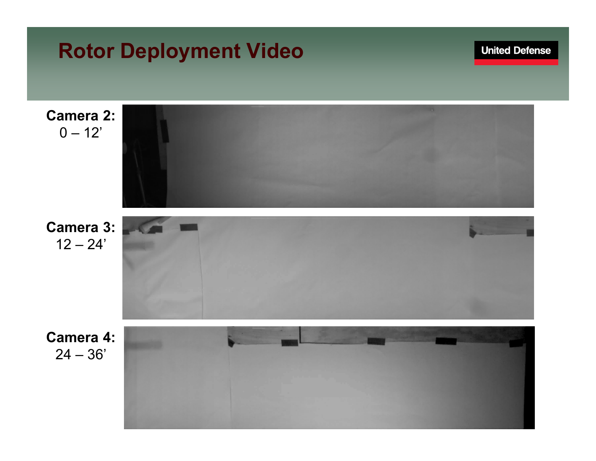#### **Rotor Deployment Video**

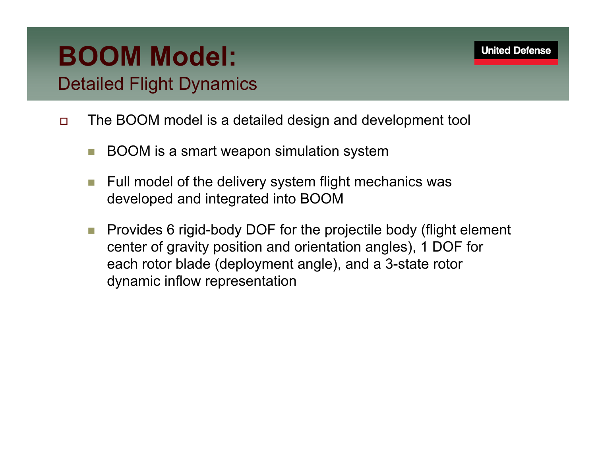## **BOOM Model:**

Detailed Flight Dynamics

- $\Box$  The BOOM model is a detailed design and development tool
	- m, BOOM is a smart weapon simulation system
	- $\mathbb{R}^n$  Full model of the delivery system flight mechanics was developed and integrated into BOOM
	- **The Co**  Provides 6 rigid-body DOF for the projectile body (flight element center of gravity position and orientation angles), 1 DOF for each rotor blade (deployment angle), and a 3-state rotor dynamic inflow representation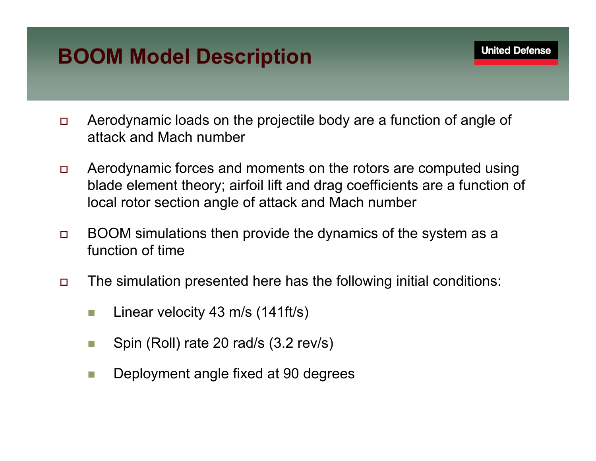## **BOOM Model Description**

- $\Box$  Aerodynamic loads on the projectile body are a function of angle of attack and Mach number
- $\Box$  Aerodynamic forces and moments on the rotors are computed using blade element theory; airfoil lift and drag coefficients are a function of local rotor section angle of attack and Mach number
- $\Box$  BOOM simulations then provide the dynamics of the system as a function of time
- $\Box$  The simulation presented here has the following initial conditions:
	- F. Linear velocity 43 m/s (141ft/s)
	- **Tale** Spin (Roll) rate 20 rad/s (3.2 rev/s)
	- $\mathbb{R}^n$ Deployment angle fixed at 90 degrees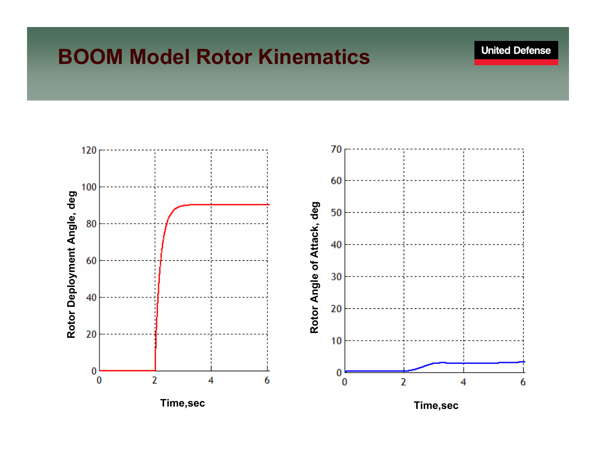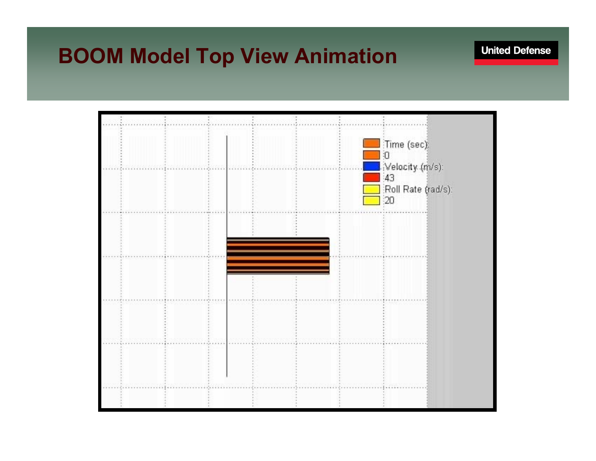#### **BOOM Model Top View Animation**

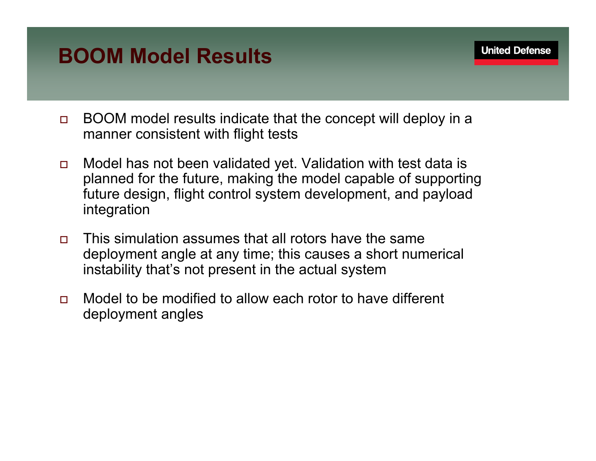### **BOOM Model Results**

- $\Box$  BOOM model results indicate that the concept will deploy in a manner consistent with flight tests
- $\Box$  Model has not been validated yet. Validation with test data is planned for the future, making the model capable of supporting future design, flight control system development, and payload integration
- $\Box$  This simulation assumes that all rotors have the same deployment angle at any time; this causes a short numerical instability that's not present in the actual system
- $\Box$  Model to be modified to allow each rotor to have different deployment angles